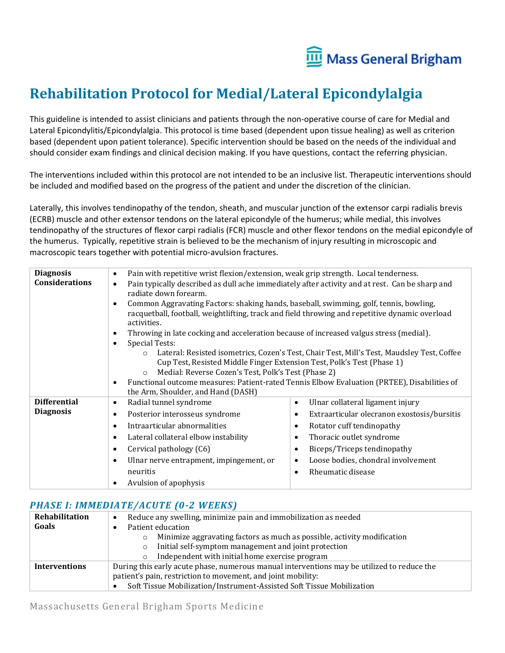

## **Rehabilitation Protocol for Medial/Lateral Epicondylalgia**

This guideline is intended to assist clinicians and patients through the non-operative course of care for Medial and Lateral Epicondylitis/Epicondylalgia. This protocol is time based (dependent upon tissue healing) as well as criterion based (dependent upon patient tolerance). Specific intervention should be based on the needs of the individual and should consider exam findings and clinical decision making. If you have questions, contact the referring physician.

The interventions included within this protocol are not intended to be an inclusive list. Therapeutic interventions should be included and modified based on the progress of the patient and under the discretion of the clinician.

Laterally, this involves tendinopathy of the tendon, sheath, and muscular junction of the extensor carpi radialis brevis (ECRB) muscle and other extensor tendons on the lateral epicondyle of the humerus; while medial, this involves tendinopathy of the structures of flexor carpi radialis (FCR) muscle and other flexor tendons on the medial epicondyle of the humerus. Typically, repetitive strain is believed to be the mechanism of injury resulting in microscopic and macroscopic tears together with potential micro-avulsion fractures.

| <b>Diagnosis</b>      | Pain with repetitive wrist flexion/extension, weak grip strength. Local tenderness.<br>$\bullet$                                         |                                                                                                |
|-----------------------|------------------------------------------------------------------------------------------------------------------------------------------|------------------------------------------------------------------------------------------------|
| <b>Considerations</b> | $\bullet$<br>radiate down forearm.                                                                                                       | Pain typically described as dull ache immediately after activity and at rest. Can be sharp and |
|                       | Common Aggravating Factors: shaking hands, baseball, swimming, golf, tennis, bowling,<br>$\bullet$<br>activities.                        | racquetball, football, weightlifting, track and field throwing and repetitive dynamic overload |
|                       | Throwing in late cocking and acceleration because of increased valgus stress (medial).<br>٠                                              |                                                                                                |
|                       | <b>Special Tests:</b><br>٠                                                                                                               |                                                                                                |
|                       | $\circ$                                                                                                                                  | Lateral: Resisted isometrics, Cozen's Test, Chair Test, Mill's Test, Maudsley Test, Coffee     |
|                       | Cup Test, Resisted Middle Finger Extension Test, Polk's Test (Phase 1)<br>Medial: Reverse Cozen's Test, Polk's Test (Phase 2)<br>$\circ$ |                                                                                                |
|                       | $\bullet$                                                                                                                                | Functional outcome measures: Patient-rated Tennis Elbow Evaluation (PRTEE), Disabilities of    |
|                       | the Arm, Shoulder, and Hand (DASH)                                                                                                       |                                                                                                |
| <b>Differential</b>   | Radial tunnel syndrome<br>$\bullet$                                                                                                      | Ulnar collateral ligament injury<br>$\bullet$                                                  |
| <b>Diagnosis</b>      | Posterior interosseus syndrome<br>$\bullet$                                                                                              | Extraarticular olecranon exostosis/bursitis<br>$\bullet$                                       |
|                       | Intraarticular abnormalities<br>$\bullet$                                                                                                | Rotator cuff tendinopathy<br>$\bullet$                                                         |
|                       | Lateral collateral elbow instability<br>$\bullet$                                                                                        | Thoracic outlet syndrome<br>$\bullet$                                                          |
|                       | Cervical pathology (C6)<br>$\bullet$                                                                                                     | Biceps/Triceps tendinopathy<br>$\bullet$                                                       |
|                       | Ulnar nerve entrapment, impingement, or<br>$\bullet$                                                                                     | Loose bodies, chondral involvement<br>$\bullet$                                                |
|                       | neuritis                                                                                                                                 | Rheumatic disease<br>$\bullet$                                                                 |
|                       | Avulsion of apophysis<br>٠                                                                                                               |                                                                                                |

## *PHASE I: IMMEDIATE/ACUTE (0-2 WEEKS)*

| Rehabilitation       | Reduce any swelling, minimize pain and immobilization as needed<br>$\bullet$               |  |
|----------------------|--------------------------------------------------------------------------------------------|--|
| Goals                | Patient education                                                                          |  |
|                      | Minimize aggravating factors as much as possible, activity modification<br>$\circ$         |  |
|                      | Initial self-symptom management and joint protection<br>$\circ$                            |  |
|                      | Independent with initial home exercise program<br>$\circ$                                  |  |
| <b>Interventions</b> | During this early acute phase, numerous manual interventions may be utilized to reduce the |  |
|                      | patient's pain, restriction to movement, and joint mobility:                               |  |
|                      | Soft Tissue Mobilization/Instrument-Assisted Soft Tissue Mobilization                      |  |

Massachusetts General Brigham Sports Medicine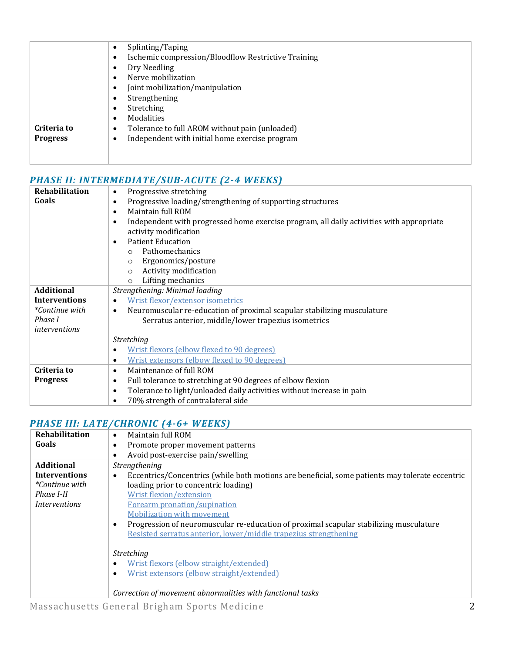|                 | Splinting/Taping<br>$\bullet$                                    |  |
|-----------------|------------------------------------------------------------------|--|
|                 | Ischemic compression/Bloodflow Restrictive Training<br>$\bullet$ |  |
|                 | Dry Needling<br>$\bullet$                                        |  |
|                 | Nerve mobilization<br>$\bullet$                                  |  |
|                 | Joint mobilization/manipulation<br>$\bullet$                     |  |
|                 | Strengthening<br>$\bullet$                                       |  |
|                 | Stretching<br>$\bullet$                                          |  |
|                 | Modalities<br>$\bullet$                                          |  |
| Criteria to     | Tolerance to full AROM without pain (unloaded)<br>$\bullet$      |  |
| <b>Progress</b> | Independent with initial home exercise program<br>$\bullet$      |  |
|                 |                                                                  |  |
|                 |                                                                  |  |

## *PHASE II: INTERMEDIATE/SUB-ACUTE (2-4 WEEKS)*

| Rehabilitation        | Progressive stretching<br>$\bullet$                                                           |  |
|-----------------------|-----------------------------------------------------------------------------------------------|--|
| Goals                 | Progressive loading/strengthening of supporting structures<br>٠                               |  |
|                       | Maintain full ROM<br>$\epsilon$                                                               |  |
|                       | Independent with progressed home exercise program, all daily activities with appropriate<br>٠ |  |
|                       | activity modification                                                                         |  |
|                       | <b>Patient Education</b><br>C                                                                 |  |
|                       | Pathomechanics                                                                                |  |
|                       | Ergonomics/posture<br>$\circ$                                                                 |  |
|                       | Activity modification<br>$\circ$                                                              |  |
|                       | Lifting mechanics<br>$\circ$                                                                  |  |
| <b>Additional</b>     | Strengthening: Minimal loading                                                                |  |
| <b>Interventions</b>  | Wrist flexor/extensor isometrics                                                              |  |
| <i>*Continue with</i> | Neuromuscular re-education of proximal scapular stabilizing musculature<br>$\bullet$          |  |
| Phase I               | Serratus anterior, middle/lower trapezius isometrics                                          |  |
| <i>interventions</i>  |                                                                                               |  |
|                       | <b>Stretching</b>                                                                             |  |
|                       | Wrist flexors (elbow flexed to 90 degrees)<br>$\bullet$                                       |  |
|                       | Wrist extensors (elbow flexed to 90 degrees)<br>٠                                             |  |
| Criteria to           | Maintenance of full ROM<br>٠                                                                  |  |
| <b>Progress</b>       | Full tolerance to stretching at 90 degrees of elbow flexion<br>$\bullet$                      |  |
|                       | Tolerance to light/unloaded daily activities without increase in pain<br>$\bullet$            |  |
|                       | 70% strength of contralateral side<br>$\bullet$                                               |  |

## *PHASE III: LATE/CHRONIC (4-6+ WEEKS)*

| Rehabilitation        | Maintain full ROM<br>$\bullet$                                                                               |  |
|-----------------------|--------------------------------------------------------------------------------------------------------------|--|
| Goals                 | Promote proper movement patterns<br>$\bullet$                                                                |  |
|                       | Avoid post-exercise pain/swelling<br>$\bullet$                                                               |  |
| <b>Additional</b>     | Strengthening                                                                                                |  |
| <b>Interventions</b>  | Eccentrics/Concentrics (while both motions are beneficial, some patients may tolerate eccentric<br>$\bullet$ |  |
| <i>*Continue with</i> | loading prior to concentric loading)                                                                         |  |
| Phase I-II            | Wrist flexion/extension                                                                                      |  |
| <i>Interventions</i>  | Forearm pronation/supination                                                                                 |  |
|                       | <b>Mobilization with movement</b>                                                                            |  |
|                       | Progression of neuromuscular re-education of proximal scapular stabilizing musculature<br>$\bullet$          |  |
|                       | Resisted serratus anterior, lower/middle trapezius strengthening                                             |  |
|                       |                                                                                                              |  |
|                       | <b>Stretching</b>                                                                                            |  |
|                       | Wrist flexors (elbow straight/extended)<br>$\bullet$                                                         |  |
|                       | Wrist extensors (elbow straight/extended)<br>$\bullet$                                                       |  |
|                       |                                                                                                              |  |
|                       | Correction of movement abnormalities with functional tasks                                                   |  |
|                       |                                                                                                              |  |

Massachusetts General Brigham Sports Medicine 2